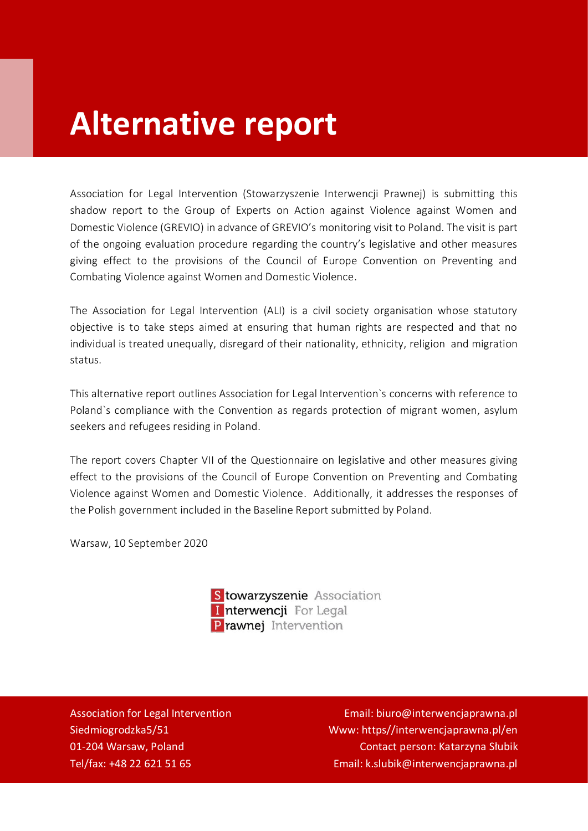# **Alternative report**

Association for Legal Intervention (Stowarzyszenie Interwencji Prawnej) is submitting this shadow report to the Group of Experts on Action against Violence against Women and Domestic Violence (GREVIO) in advance of GREVIO's monitoring visit to Poland. The visit is part of the ongoing evaluation procedure regarding the country's legislative and other measures giving effect to the provisions of the Council of Europe Convention on Preventing and Combating Violence against Women and Domestic Violence.

The Association for Legal Intervention (ALI) is a civil society organisation whose statutory objective is to take steps aimed at ensuring that human rights are respected and that no individual is treated unequally, disregard of their nationality, ethnicity, religion and migration status.

This alternative report outlines Association for Legal Intervention`s concerns with reference to Poland`s compliance with the Convention as regards protection of migrant women, asylum seekers and refugees residing in Poland.

The report covers Chapter VII of the Questionnaire on legislative and other measures giving effect to the provisions of the Council of Europe Convention on Preventing and Combating Violence against Women and Domestic Violence. Additionally, it addresses the responses of the Polish government included in the Baseline Report submitted by Poland.

Warsaw, 10 September 2020

| S towarzyszenie Association |
|-----------------------------|
| Interwencji For Legal       |
| Prawnej Intervention        |

Association for Legal Intervention Siedmiogrodzka5/51 01-204 Warsaw, Poland Tel/fax: +48 22 621 51 65

Email: biuro@interwencjaprawna.pl Www: https//interwencjaprawna.pl/en Contact person: Katarzyna Słubik Email: k.slubik@interwencjaprawna.pl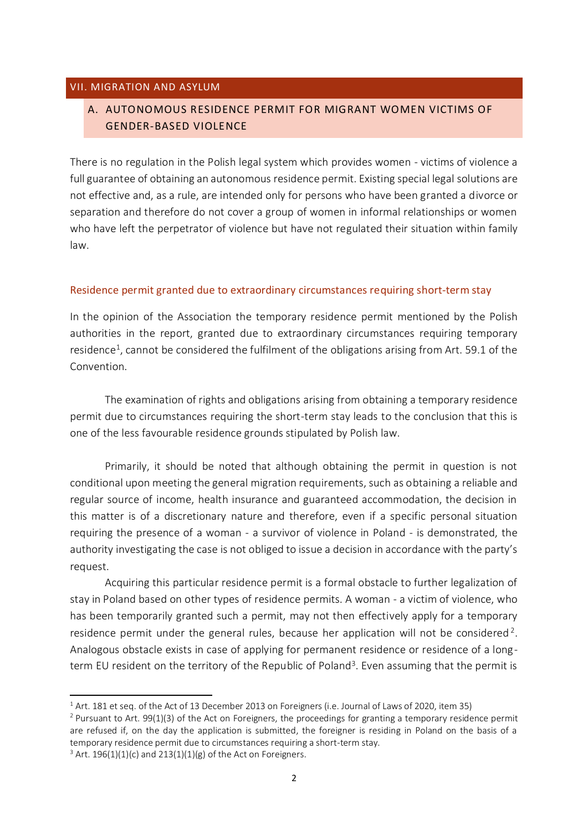#### VII. MIGRATION AND ASYLUM

# A. AUTONOMOUS RESIDENCE PERMIT FOR MIGRANT WOMEN VICTIMS OF GENDER-BASED VIOLENCE

There is no regulation in the Polish legal system which provides women - victims of violence a full guarantee of obtaining an autonomous residence permit. Existing special legal solutions are not effective and, as a rule, are intended only for persons who have been granted a divorce or separation and therefore do not cover a group of women in informal relationships or women who have left the perpetrator of violence but have not regulated their situation within family law.

# Residence permit granted due to extraordinary circumstances requiring short-term stay

In the opinion of the Association the temporary residence permit mentioned by the Polish authorities in the report, granted due to extraordinary circumstances requiring temporary residence<sup>1</sup>, cannot be considered the fulfilment of the obligations arising from Art. 59.1 of the Convention.

The examination of rights and obligations arising from obtaining a temporary residence permit due to circumstances requiring the short-term stay leads to the conclusion that this is one of the less favourable residence grounds stipulated by Polish law.

Primarily, it should be noted that although obtaining the permit in question is not conditional upon meeting the general migration requirements, such as obtaining a reliable and regular source of income, health insurance and guaranteed accommodation, the decision in this matter is of a discretionary nature and therefore, even if a specific personal situation requiring the presence of a woman - a survivor of violence in Poland - is demonstrated, the authority investigating the case is not obliged to issue a decision in accordance with the party's request.

Acquiring this particular residence permit is a formal obstacle to further legalization of stay in Poland based on other types of residence permits. A woman - a victim of violence, who has been temporarily granted such a permit, may not then effectively apply for a temporary residence permit under the general rules, because her application will not be considered<sup>2</sup>. Analogous obstacle exists in case of applying for permanent residence or residence of a longterm EU resident on the territory of the Republic of Poland<sup>3</sup>. Even assuming that the permit is

<sup>&</sup>lt;sup>1</sup> Art. 181 et seq. of the Act of 13 December 2013 on Foreigners (i.e. Journal of Laws of 2020, item 35)

<sup>&</sup>lt;sup>2</sup> Pursuant to Art. 99(1)(3) of the Act on Foreigners, the proceedings for granting a temporary residence permit are refused if, on the day the application is submitted, the foreigner is residing in Poland on the basis of a temporary residence permit due to circumstances requiring a short-term stay.

 $3$  Art. 196(1)(1)(c) and 213(1)(1)(g) of the Act on Foreigners.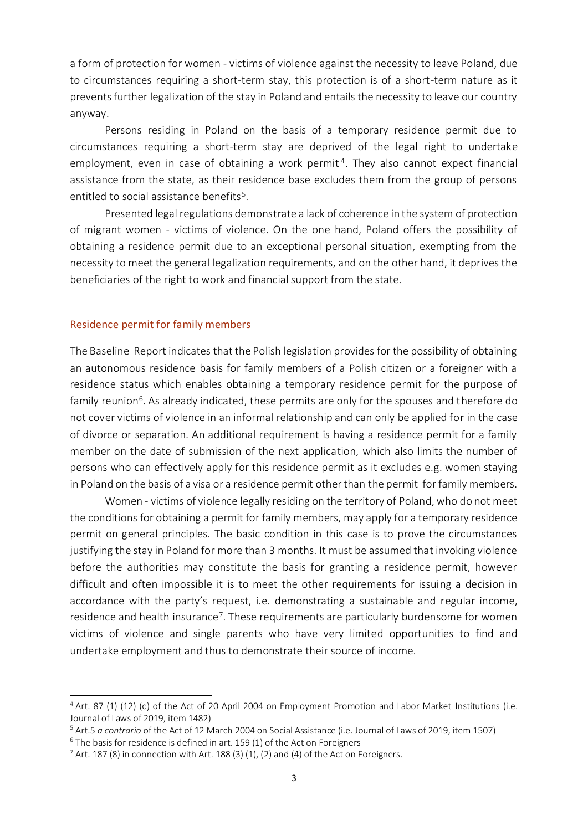a form of protection for women - victims of violence against the necessity to leave Poland, due to circumstances requiring a short-term stay, this protection is of a short-term nature as it prevents further legalization of the stay in Poland and entails the necessity to leave our country anyway.

Persons residing in Poland on the basis of a temporary residence permit due to circumstances requiring a short-term stay are deprived of the legal right to undertake employment, even in case of obtaining a work permit<sup>4</sup>. They also cannot expect financial assistance from the state, as their residence base excludes them from the group of persons entitled to social assistance benefits $^5$ .

Presented legal regulations demonstrate a lack of coherence in the system of protection of migrant women - victims of violence. On the one hand, Poland offers the possibility of obtaining a residence permit due to an exceptional personal situation, exempting from the necessity to meet the general legalization requirements, and on the other hand, it deprives the beneficiaries of the right to work and financial support from the state.

#### Residence permit for family members

The Baseline Report indicates that the Polish legislation provides for the possibility of obtaining an autonomous residence basis for family members of a Polish citizen or a foreigner with a residence status which enables obtaining a temporary residence permit for the purpose of family reunion<sup>6</sup>. As already indicated, these permits are only for the spouses and therefore do not cover victims of violence in an informal relationship and can only be applied for in the case of divorce or separation. An additional requirement is having a residence permit for a family member on the date of submission of the next application, which also limits the number of persons who can effectively apply for this residence permit as it excludes e.g. women staying in Poland on the basis of a visa or a residence permit other than the permit for family members.

Women - victims of violence legally residing on the territory of Poland, who do not meet the conditions for obtaining a permit for family members, may apply for a temporary residence permit on general principles. The basic condition in this case is to prove the circumstances justifying the stay in Poland for more than 3 months. It must be assumed that invoking violence before the authorities may constitute the basis for granting a residence permit, however difficult and often impossible it is to meet the other requirements for issuing a decision in accordance with the party's request, i.e. demonstrating a sustainable and regular income, residence and health insurance<sup>7</sup>. These requirements are particularly burdensome for women victims of violence and single parents who have very limited opportunities to find and undertake employment and thus to demonstrate their source of income.

<sup>4</sup> Art. 87 (1) (12) (c) of the Act of 20 April 2004 on Employment Promotion and Labor Market Institutions (i.e. Journal of Laws of 2019, item 1482)

<sup>5</sup> Art.5 *a contrario* of the Act of 12 March 2004 on Social Assistance (i.e. Journal of Laws of 2019, item 1507)

 $6$  The basis for residence is defined in art. 159 (1) of the Act on Foreigners

 $7$  Art. 187 (8) in connection with Art. 188 (3) (1), (2) and (4) of the Act on Foreigners.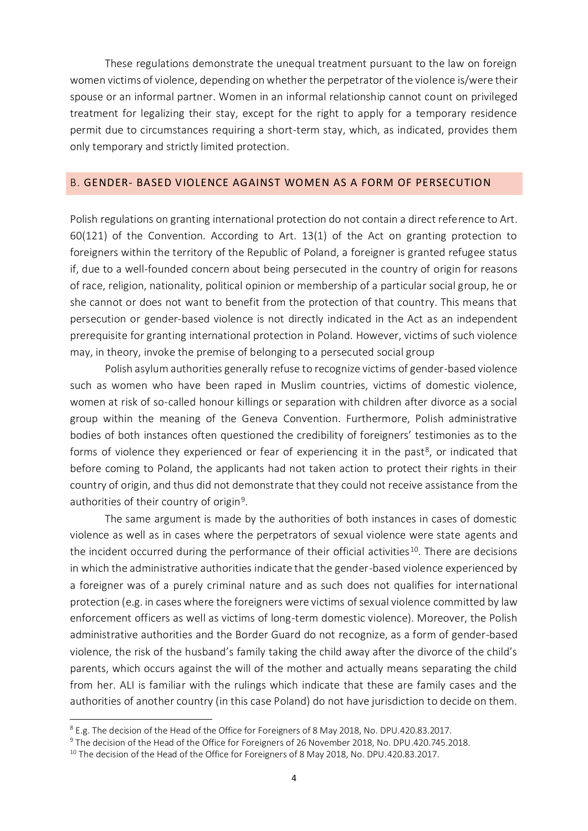These regulations demonstrate the unequal treatment pursuant to the law on foreign women victims of violence, depending on whether the perpetrator of the violence is/were their spouse or an informal partner. Women in an informal relationship cannot count on privileged treatment for legalizing their stay, except for the right to apply for a temporary residence permit due to circumstances requiring a short-term stay, which, as indicated, provides them only temporary and strictly limited protection.

#### B. GENDER- BASED VIOLENCE AGAINST WOMEN AS A FORM OF PERSECUTION

Polish regulations on granting international protection do not contain a direct reference to Art. 60(121) of the Convention. According to Art. 13(1) of the Act on granting protection to foreigners within the territory of the Republic of Poland, a foreigner is granted refugee status if, due to a well-founded concern about being persecuted in the country of origin for reasons of race, religion, nationality, political opinion or membership of a particular social group, he or she cannot or does not want to benefit from the protection of that country. This means that persecution or gender-based violence is not directly indicated in the Act as an independent prerequisite for granting international protection in Poland. However, victims of such violence may, in theory, invoke the premise of belonging to a persecuted social group

Polish asylum authorities generally refuse to recognize victims of gender-based violence such as women who have been raped in Muslim countries, victims of domestic violence, women at risk of so-called honour killings or separation with children after divorce as a social group within the meaning of the Geneva Convention. Furthermore, Polish administrative bodies of both instances often questioned the credibility of foreigners' testimonies as to the forms of violence they experienced or fear of experiencing it in the past<sup>8</sup>, or indicated that before coming to Poland, the applicants had not taken action to protect their rights in their country of origin, and thus did not demonstrate that they could not receive assistance from the authorities of their country of origin<sup>9</sup>.

The same argument is made by the authorities of both instances in cases of domestic violence as well as in cases where the perpetrators of sexual violence were state agents and the incident occurred during the performance of their official activities<sup>10</sup>. There are decisions in which the administrative authorities indicate that the gender-based violence experienced by a foreigner was of a purely criminal nature and as such does not qualifies for international protection (e.g. in cases where the foreigners were victims of sexual violence committed by law enforcement officers as well as victims of long-term domestic violence). Moreover, the Polish administrative authorities and the Border Guard do not recognize, as a form of gender-based violence, the risk of the husband's family taking the child away after the divorce of the child's parents, which occurs against the will of the mother and actually means separating the child from her. ALI is familiar with the rulings which indicate that these are family cases and the authorities of another country (in this case Poland) do not have jurisdiction to decide on them.

<sup>8</sup> E.g. The decision of the Head of the Office for Foreigners of 8 May 2018, No. DPU.420.83.2017.

<sup>9</sup> The decision of the Head of the Office for Foreigners of 26 November 2018, No. DPU.420.745.2018.

<sup>&</sup>lt;sup>10</sup> The decision of the Head of the Office for Foreigners of 8 May 2018, No. DPU.420.83.2017.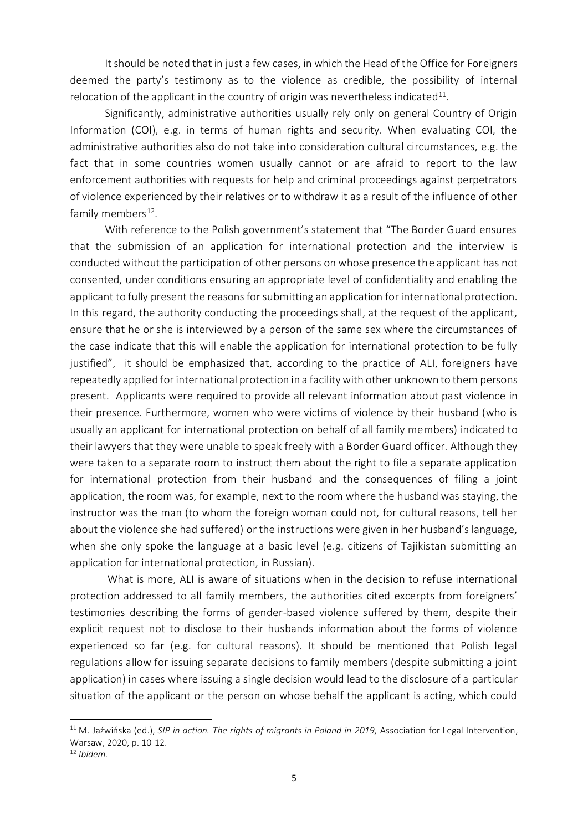It should be noted that in just a few cases, in which the Head of the Office for Foreigners deemed the party's testimony as to the violence as credible, the possibility of internal relocation of the applicant in the country of origin was nevertheless indicated $^{11}$ .

Significantly, administrative authorities usually rely only on general Country of Origin Information (COI), e.g. in terms of human rights and security. When evaluating COI, the administrative authorities also do not take into consideration cultural circumstances, e.g. the fact that in some countries women usually cannot or are afraid to report to the law enforcement authorities with requests for help and criminal proceedings against perpetrators of violence experienced by their relatives or to withdraw it as a result of the influence of other family members $^{12}$ .

With reference to the Polish government's statement that "The Border Guard ensures that the submission of an application for international protection and the interview is conducted without the participation of other persons on whose presence the applicant has not consented, under conditions ensuring an appropriate level of confidentiality and enabling the applicant to fully present the reasons for submitting an application for international protection. In this regard, the authority conducting the proceedings shall, at the request of the applicant, ensure that he or she is interviewed by a person of the same sex where the circumstances of the case indicate that this will enable the application for international protection to be fully justified", it should be emphasized that, according to the practice of ALI, foreigners have repeatedly applied for international protection in a facility with other unknown to them persons present. Applicants were required to provide all relevant information about past violence in their presence. Furthermore, women who were victims of violence by their husband (who is usually an applicant for international protection on behalf of all family members) indicated to their lawyers that they were unable to speak freely with a Border Guard officer. Although they were taken to a separate room to instruct them about the right to file a separate application for international protection from their husband and the consequences of filing a joint application, the room was, for example, next to the room where the husband was staying, the instructor was the man (to whom the foreign woman could not, for cultural reasons, tell her about the violence she had suffered) or the instructions were given in her husband's language, when she only spoke the language at a basic level (e.g. citizens of Tajikistan submitting an application for international protection, in Russian).

What is more, ALI is aware of situations when in the decision to refuse international protection addressed to all family members, the authorities cited excerpts from foreigners' testimonies describing the forms of gender-based violence suffered by them, despite their explicit request not to disclose to their husbands information about the forms of violence experienced so far (e.g. for cultural reasons). It should be mentioned that Polish legal regulations allow for issuing separate decisions to family members (despite submitting a joint application) in cases where issuing a single decision would lead to the disclosure of a particular situation of the applicant or the person on whose behalf the applicant is acting, which could

<sup>&</sup>lt;sup>11</sup> M. Jaźwińska (ed.), *SIP in action. The rights of migrants in Poland in 2019, Association for Legal Intervention,* Warsaw, 2020, p. 10-12.

<sup>12</sup> *Ibidem.*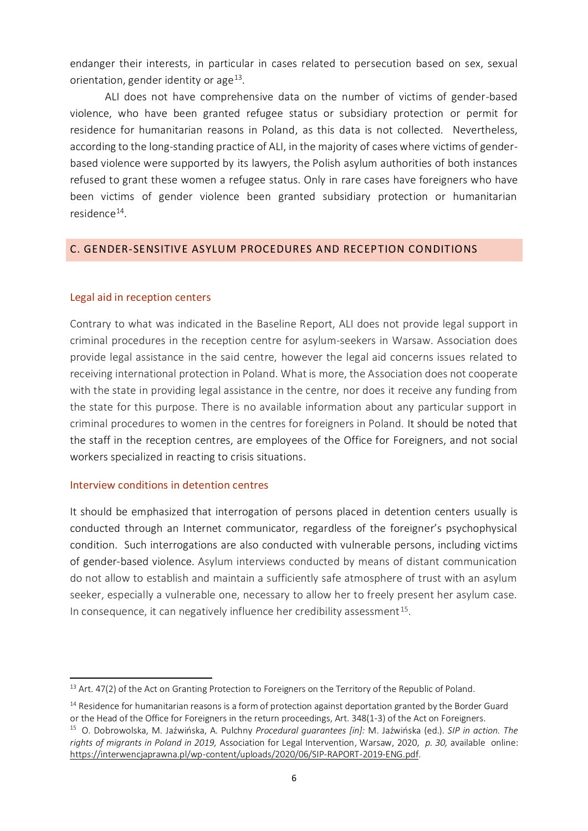endanger their interests, in particular in cases related to persecution based on sex, sexual orientation, gender identity or age $^{13}$ .

ALI does not have comprehensive data on the number of victims of gender-based violence, who have been granted refugee status or subsidiary protection or permit for residence for humanitarian reasons in Poland, as this data is not collected. Nevertheless, according to the long-standing practice of ALI, in the majority of cases where victims of genderbased violence were supported by its lawyers, the Polish asylum authorities of both instances refused to grant these women a refugee status. Only in rare cases have foreigners who have been victims of gender violence been granted subsidiary protection or humanitarian residence<sup>14</sup>.

# C. GENDER-SENSITIVE ASYLUM PROCEDURES AND RECEPTION CONDITIONS

# Legal aid in reception centers

Contrary to what was indicated in the Baseline Report, ALI does not provide legal support in criminal procedures in the reception centre for asylum-seekers in Warsaw. Association does provide legal assistance in the said centre, however the legal aid concerns issues related to receiving international protection in Poland. What is more, the Association does not cooperate with the state in providing legal assistance in the centre, nor does it receive any funding from the state for this purpose. There is no available information about any particular support in criminal procedures to women in the centres for foreigners in Poland. It should be noted that the staff in the reception centres, are employees of the Office for Foreigners, and not social workers specialized in reacting to crisis situations.

# Interview conditions in detention centres

It should be emphasized that interrogation of persons placed in detention centers usually is conducted through an Internet communicator, regardless of the foreigner's psychophysical condition. Such interrogations are also conducted with vulnerable persons, including victims of gender-based violence. Asylum interviews conducted by means of distant communication do not allow to establish and maintain a sufficiently safe atmosphere of trust with an asylum seeker, especially a vulnerable one, necessary to allow her to freely present her asylum case. In consequence, it can negatively influence her credibility assessment  $^{15}$ .

<sup>&</sup>lt;sup>13</sup> Art. 47(2) of the Act on Granting Protection to Foreigners on the Territory of the Republic of Poland.

<sup>&</sup>lt;sup>14</sup> Residence for humanitarian reasons is a form of protection against deportation granted by the Border Guard or the Head of the Office for Foreigners in the return proceedings, Art. 348(1-3) of the Act on Foreigners.

<sup>15</sup> O. Dobrowolska, M. Jaźwińska, A. Pulchny *Procedural guarantees [in]:* M. Jaźwińska (ed.). *SIP in action. The rights of migrants in Poland in 2019,* Association for Legal Intervention, Warsaw, 2020, *p. 30,* available online: [https://interwencjaprawna.pl/wp-content/uploads/2020/06/SIP-RAPORT-2019-ENG.pdf.](https://interwencjaprawna.pl/wp-content/uploads/2020/06/SIP-RAPORT-2019-ENG.pdf)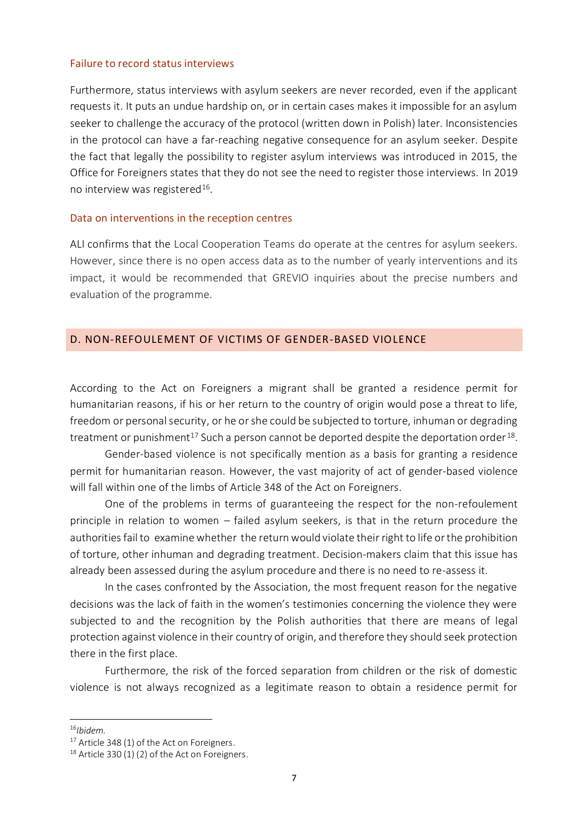#### Failure to record status interviews

Furthermore, status interviews with asylum seekers are never recorded, even if the applicant requests it. It puts an undue hardship on, or in certain cases makes it impossible for an asylum seeker to challenge the accuracy of the protocol (written down in Polish) later. Inconsistencies in the protocol can have a far-reaching negative consequence for an asylum seeker. Despite the fact that legally the possibility to register asylum interviews was introduced in 2015, the Office for Foreigners states that they do not see the need to register those interviews. In 2019 no interview was registered $^{16}$ .

#### Data on interventions in the reception centres

ALI confirms that the Local Cooperation Teams do operate at the centres for asylum seekers. However, since there is no open access data as to the number of yearly interventions and its impact, it would be recommended that GREVIO inquiries about the precise numbers and evaluation of the programme.

### D. NON-REFOULEMENT OF VICTIMS OF GENDER-BASED VIOLENCE

According to the Act on Foreigners a migrant shall be granted a residence permit for humanitarian reasons, if his or her return to the country of origin would pose a threat to life, freedom or personal security, or he or she could be subjected to torture, inhuman or degrading treatment or punishment $^{\rm 17}$  Such a person cannot be deported despite the deportation order  $^{\rm 18}$ .

Gender-based violence is not specifically mention as a basis for granting a residence permit for humanitarian reason. However, the vast majority of act of gender-based violence will fall within one of the limbs of Article 348 of the Act on Foreigners.

One of the problems in terms of guaranteeing the respect for the non-refoulement principle in relation to women – failed asylum seekers, is that in the return procedure the authorities fail to examine whether the return would violate their right to life or the prohibition of torture, other inhuman and degrading treatment. Decision-makers claim that this issue has already been assessed during the asylum procedure and there is no need to re-assess it.

In the cases confronted by the Association, the most frequent reason for the negative decisions was the lack of faith in the women's testimonies concerning the violence they were subjected to and the recognition by the Polish authorities that there are means of legal protection against violence in their country of origin, and therefore they should seek protection there in the first place.

Furthermore, the risk of the forced separation from children or the risk of domestic violence is not always recognized as a legitimate reason to obtain a residence permit for

<sup>16</sup>*Ibidem.*

<sup>&</sup>lt;sup>17</sup> Article 348 (1) of the Act on Foreigners.

 $18$  Article 330 (1) (2) of the Act on Foreigners.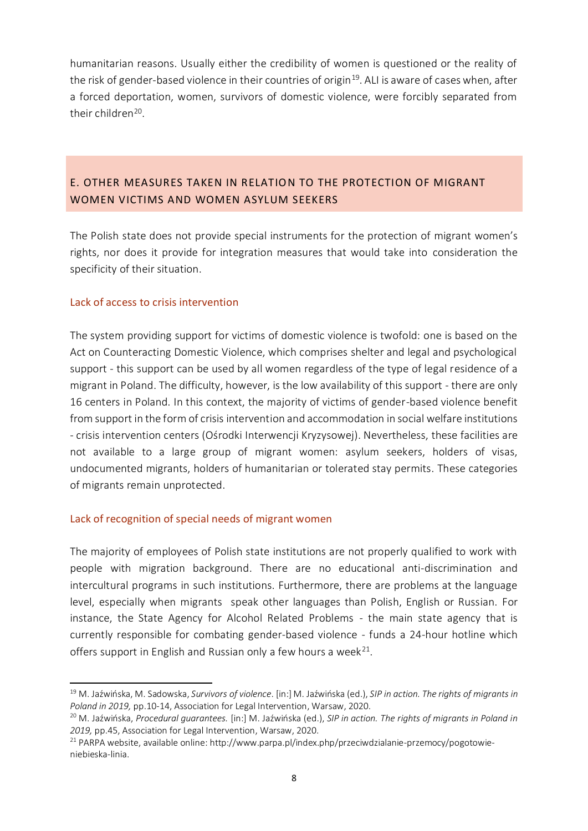humanitarian reasons. Usually either the credibility of women is questioned or the reality of the risk of gender-based violence in their countries of origin<sup>19</sup>. ALI is aware of cases when, after a forced deportation, women, survivors of domestic violence, were forcibly separated from their children<sup>20</sup>.

# E. OTHER MEASURES TAKEN IN RELATION TO THE PROTECTION OF MIGRANT WOMEN VICTIMS AND WOMEN ASYLUM SEEKERS

The Polish state does not provide special instruments for the protection of migrant women's rights, nor does it provide for integration measures that would take into consideration the specificity of their situation.

# Lack of access to crisis intervention

The system providing support for victims of domestic violence is twofold: one is based on the Act on Counteracting Domestic Violence, which comprises shelter and legal and psychological support - this support can be used by all women regardless of the type of legal residence of a migrant in Poland. The difficulty, however, is the low availability of this support - there are only 16 centers in Poland. In this context, the majority of victims of gender-based violence benefit from support in the form of crisis intervention and accommodation in social welfare institutions - crisis intervention centers (Ośrodki Interwencji Kryzysowej). Nevertheless, these facilities are not available to a large group of migrant women: asylum seekers, holders of visas, undocumented migrants, holders of humanitarian or tolerated stay permits. These categories of migrants remain unprotected.

# Lack of recognition of special needs of migrant women

The majority of employees of Polish state institutions are not properly qualified to work with people with migration background. There are no educational anti-discrimination and intercultural programs in such institutions. Furthermore, there are problems at the language level, especially when migrants speak other languages than Polish, English or Russian. For instance, the State Agency for Alcohol Related Problems - the main state agency that is currently responsible for combating gender-based violence - funds a 24-hour hotline which offers support in English and Russian only a few hours a week<sup>21</sup>.

<sup>19</sup> M. Jaźwińska, M. Sadowska, *Survivors of violence*. [in:] M. Jaźwińska (ed.), *SIP in action. The rights of migrants in Poland in 2019,* pp.10-14, Association for Legal Intervention, Warsaw, 2020.

<sup>20</sup> M. Jaźwińska, *Procedural guarantees.* [in:] M. Jaźwińska (ed.), *SIP in action. The rights of migrants in Poland in 2019,* pp.45, Association for Legal Intervention, Warsaw, 2020.

<sup>21</sup> PARPA website, available online: http://www.parpa.pl/index.php/przeciwdzialanie-przemocy/pogotowieniebieska-linia.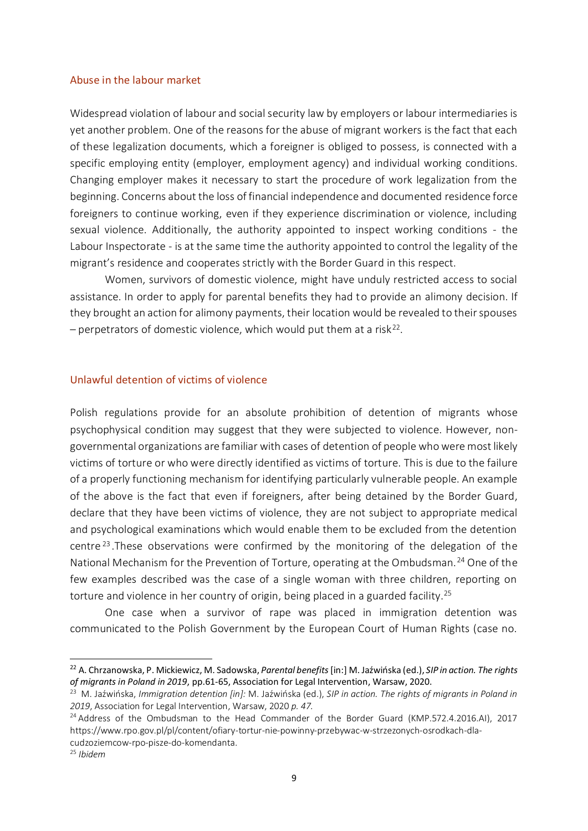#### Abuse in the labour market

Widespread violation of labour and social security law by employers or labour intermediaries is yet another problem. One of the reasons for the abuse of migrant workers is the fact that each of these legalization documents, which a foreigner is obliged to possess, is connected with a specific employing entity (employer, employment agency) and individual working conditions. Changing employer makes it necessary to start the procedure of work legalization from the beginning. Concerns about the loss of financial independence and documented residence force foreigners to continue working, even if they experience discrimination or violence, including sexual violence. Additionally, the authority appointed to inspect working conditions - the Labour Inspectorate - is at the same time the authority appointed to control the legality of the migrant's residence and cooperates strictly with the Border Guard in this respect.

Women, survivors of domestic violence, might have unduly restricted access to social assistance. In order to apply for parental benefits they had to provide an alimony decision. If they brought an action for alimony payments, their location would be revealed to their spouses  $-$  perpetrators of domestic violence, which would put them at a risk<sup>22</sup>.

#### Unlawful detention of victims of violence

Polish regulations provide for an absolute prohibition of detention of migrants whose psychophysical condition may suggest that they were subjected to violence. However, nongovernmental organizations are familiar with cases of detention of people who were most likely victims of torture or who were directly identified as victims of torture. This is due to the failure of a properly functioning mechanism for identifying particularly vulnerable people. An example of the above is the fact that even if foreigners, after being detained by the Border Guard, declare that they have been victims of violence, they are not subject to appropriate medical and psychological examinations which would enable them to be excluded from the detention centre<sup>23</sup>. These observations were confirmed by the monitoring of the delegation of the National Mechanism for the Prevention of Torture, operating at the Ombudsman.<sup>24</sup> One of the few examples described was the case of a single woman with three children, reporting on torture and violence in her country of origin, being placed in a guarded facility.<sup>25</sup>

One case when a survivor of rape was placed in immigration detention was communicated to the Polish Government by the European Court of Human Rights (case no.

<sup>22</sup> A. Chrzanowska, P. Mickiewicz, M. Sadowska, *Parental benefits*[in:] M. Jaźwińska (ed.), *SIP in action. The rights of migrants in Poland in 2019*, pp.61-65, Association for Legal Intervention, Warsaw, 2020.

<sup>23</sup> M. Jaźwińska, *Immigration detention [in]:* M. Jaźwińska (ed.), *SIP in action. The rights of migrants in Poland in 2019*, Association for Legal Intervention, Warsaw, 2020 *p. 47.*

<sup>&</sup>lt;sup>24</sup> Address of the Ombudsman to the Head Commander of the Border Guard (KMP.572.4.2016.AI), 2017 https://www.rpo.gov.pl/pl/content/ofiary-tortur-nie-powinny-przebywac-w-strzezonych-osrodkach-dlacudzoziemcow-rpo-pisze-do-komendanta.

<sup>25</sup> *Ibidem*